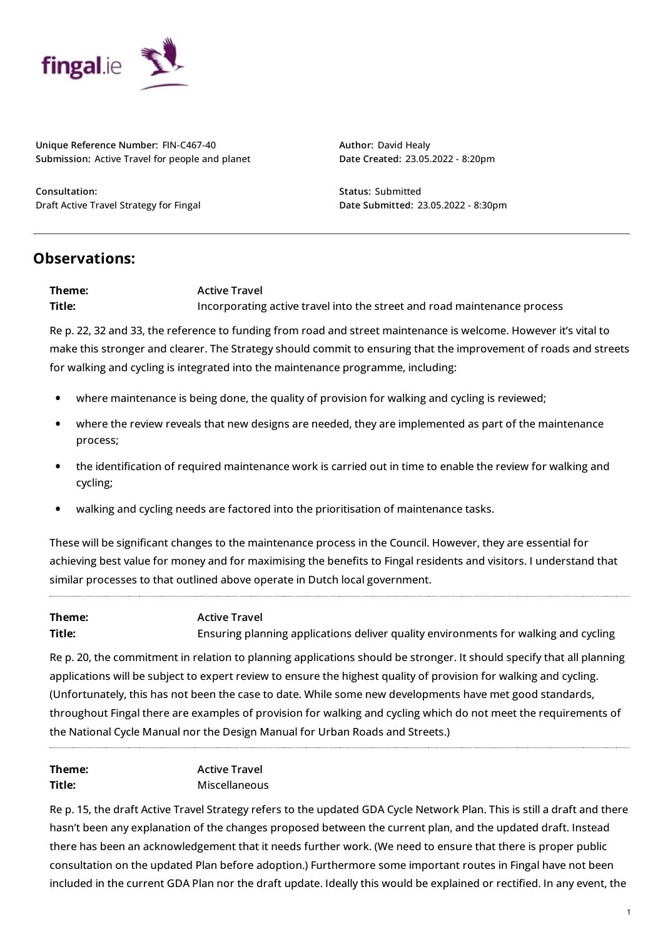

**Unique Reference Number:** FIN-C467-40 **Submission:** Active Travel for people and planet

**Consultation:** Draft Active Travel Strategy for Fingal **Author:** David Healy **Date Created:** 23.05.2022 - 8:20pm

**Status:** Submitted **Date Submitted:** 23.05.2022 - 8:30pm

## **Observations:**

**Theme: Active Travel Title:** Incorporating active travel into the street and road maintenance process

Re p. 22, 32 and 33, the reference to funding from road and street maintenance is welcome. However it's vital to make this stronger and clearer. The Strategy should commit to ensuring that the improvement of roads and streets for walking and cycling is integrated into the maintenance programme, including:

- **•** where maintenance is being done, the quality of provision for walking and cycling is reviewed;
- where the review reveals that new designs are needed, they are implemented as part of the maintenance process; **•**
- the identification of required maintenance work is carried out in time to enable the review for walking and cycling; **•**
- **•** walking and cycling needs are factored into the prioritisation of maintenance tasks.

These will be significant changes to the maintenance process in the Council. However, they are essential for achieving best value for money and for maximising the benefits to Fingal residents and visitors. I understand that similar processes to that outlined above operate in Dutch local government.

**Theme: Active Travel Title:** Ensuring planning applications deliver quality environments for walking and cycling

Re p. 20, the commitment in relation to planning applications should be stronger. It should specify that all planning applications will be subject to expert review to ensure the highest quality of provision for walking and cycling. (Unfortunately, this has not been the case to date. While some new developments have met good standards, throughout Fingal there are examples of provision for walking and cycling which do not meet the requirements of the National Cycle Manual nor the Design Manual for Urban Roads and Streets.)

| Theme: | <b>Active Travel</b> |
|--------|----------------------|
| Title: | Miscellaneous        |

Re p. 15, the draft Active Travel Strategy refers to the updated GDA Cycle Network Plan. This is still a draft and there hasn't been any explanation of the changes proposed between the current plan, and the updated draft. Instead there has been an acknowledgement that it needs further work. (We need to ensure that there is proper public consultation on the updated Plan before adoption.) Furthermore some important routes in Fingal have not been included in the current GDA Plan nor the draft update. Ideally this would be explained or rectified. In any event, the